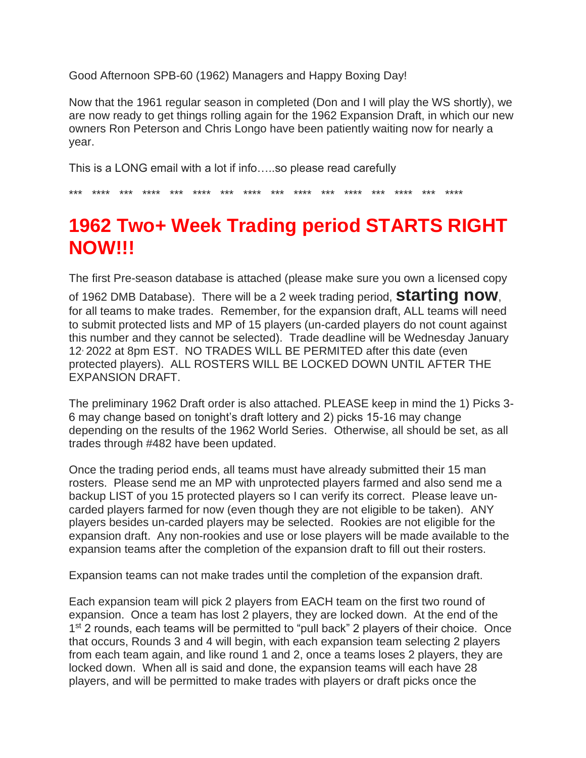Good Afternoon SPB-60 (1962) Managers and Happy Boxing Day!

Now that the 1961 regular season in completed (Don and I will play the WS shortly), we are now ready to get things rolling again for the 1962 Expansion Draft, in which our new owners Ron Peterson and Chris Longo have been patiently waiting now for nearly a year.

This is a LONG email with a lot if info…..so please read carefully

\*\*\* \*\*\*\* \*\*\* \*\*\*\* \*\*\* \*\*\*\* \*\*\* \*\*\*\* \*\*\* \*\*\*\* \*\*\* \*\*\*\* \*\*\* \*\*\*\* \*\*\* \*\*\*\*

## **1962 Two+ Week Trading period STARTS RIGHT NOW!!!**

The first Pre-season database is attached (please make sure you own a licensed copy

of 1962 DMB Database). There will be a 2 week trading period, **starting now**, for all teams to make trades. Remember, for the expansion draft, ALL teams will need to submit protected lists and MP of 15 players (un-carded players do not count against this number and they cannot be selected). Trade deadline will be Wednesday January 12, 2022 at 8pm EST. NO TRADES WILL BE PERMITED after this date (even protected players). ALL ROSTERS WILL BE LOCKED DOWN UNTIL AFTER THE EXPANSION DRAFT.

The preliminary 1962 Draft order is also attached. PLEASE keep in mind the 1) Picks 3- 6 may change based on tonight's draft lottery and 2) picks 15-16 may change depending on the results of the 1962 World Series. Otherwise, all should be set, as all trades through #482 have been updated.

Once the trading period ends, all teams must have already submitted their 15 man rosters. Please send me an MP with unprotected players farmed and also send me a backup LIST of you 15 protected players so I can verify its correct. Please leave uncarded players farmed for now (even though they are not eligible to be taken). ANY players besides un-carded players may be selected. Rookies are not eligible for the expansion draft. Any non-rookies and use or lose players will be made available to the expansion teams after the completion of the expansion draft to fill out their rosters.

Expansion teams can not make trades until the completion of the expansion draft.

Each expansion team will pick 2 players from EACH team on the first two round of expansion. Once a team has lost 2 players, they are locked down. At the end of the 1<sup>st</sup> 2 rounds, each teams will be permitted to "pull back" 2 players of their choice. Once that occurs, Rounds 3 and 4 will begin, with each expansion team selecting 2 players from each team again, and like round 1 and 2, once a teams loses 2 players, they are locked down. When all is said and done, the expansion teams will each have 28 players, and will be permitted to make trades with players or draft picks once the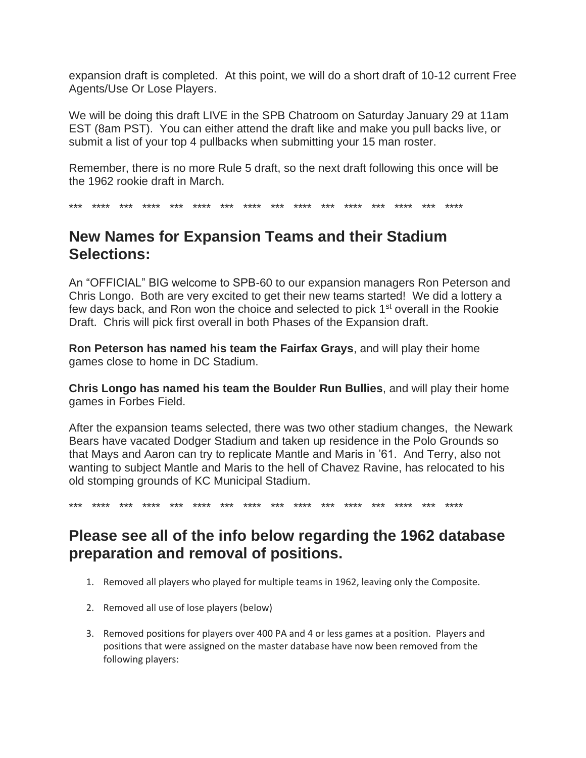expansion draft is completed. At this point, we will do a short draft of 10-12 current Free Agents/Use Or Lose Players.

We will be doing this draft LIVE in the SPB Chatroom on Saturday January 29 at 11am EST (8am PST). You can either attend the draft like and make you pull backs live, or submit a list of your top 4 pullbacks when submitting your 15 man roster.

Remember, there is no more Rule 5 draft, so the next draft following this once will be the 1962 rookie draft in March.

\*\*\* \*\*\*\* \*\*\* \*\*\*\* \*\*\* \*\*\*\* \*\*\* \*\*\*\* \*\*\* \*\*\*\* \*\*\* \*\*\*\* \*\*\* \*\*\*\* \*\*\* \*\*\*\*

## **New Names for Expansion Teams and their Stadium Selections:**

An "OFFICIAL" BIG welcome to SPB-60 to our expansion managers Ron Peterson and Chris Longo. Both are very excited to get their new teams started! We did a lottery a few days back, and Ron won the choice and selected to pick 1<sup>st</sup> overall in the Rookie Draft. Chris will pick first overall in both Phases of the Expansion draft.

**Ron Peterson has named his team the Fairfax Grays**, and will play their home games close to home in DC Stadium.

**Chris Longo has named his team the Boulder Run Bullies**, and will play their home games in Forbes Field.

After the expansion teams selected, there was two other stadium changes, the Newark Bears have vacated Dodger Stadium and taken up residence in the Polo Grounds so that Mays and Aaron can try to replicate Mantle and Maris in '61. And Terry, also not wanting to subject Mantle and Maris to the hell of Chavez Ravine, has relocated to his old stomping grounds of KC Municipal Stadium.

\*\*\* \*\*\*\* \*\*\* \*\*\*\* \*\*\* \*\*\*\* \*\*\* \*\*\*\* \*\*\* \*\*\*\* \*\*\* \*\*\*\* \*\*\* \*\*\*\* \*\*\* \*\*\*\*

## **Please see all of the info below regarding the 1962 database preparation and removal of positions.**

- 1. Removed all players who played for multiple teams in 1962, leaving only the Composite.
- 2. Removed all use of lose players (below)
- 3. Removed positions for players over 400 PA and 4 or less games at a position. Players and positions that were assigned on the master database have now been removed from the following players: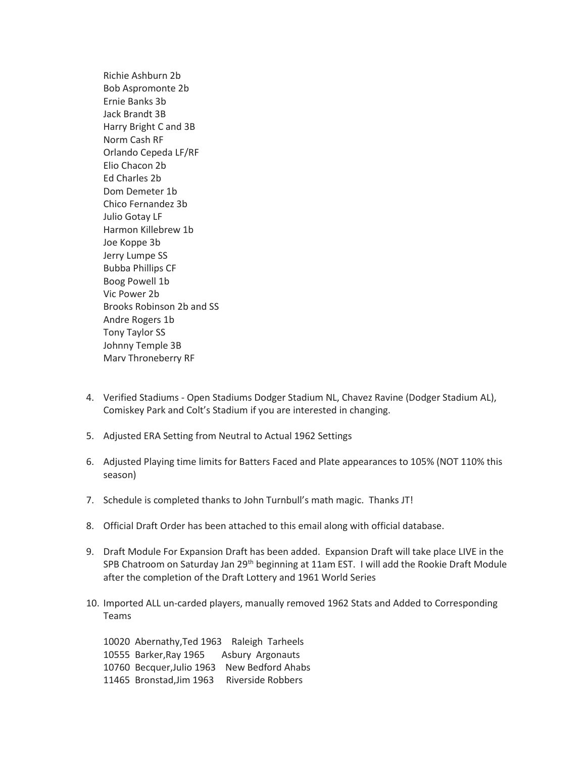Richie Ashburn 2b Bob Aspromonte 2b Ernie Banks 3b Jack Brandt 3B Harry Bright C and 3B Norm Cash RF Orlando Cepeda LF/RF Elio Chacon 2b Ed Charles 2b Dom Demeter 1b Chico Fernandez 3b Julio Gotay LF Harmon Killebrew 1b Joe Koppe 3b Jerry Lumpe SS Bubba Phillips CF Boog Powell 1b Vic Power 2b Brooks Robinson 2b and SS Andre Rogers 1b Tony Taylor SS Johnny Temple 3B Marv Throneberry RF

- 4. Verified Stadiums Open Stadiums Dodger Stadium NL, Chavez Ravine (Dodger Stadium AL), Comiskey Park and Colt's Stadium if you are interested in changing.
- 5. Adjusted ERA Setting from Neutral to Actual 1962 Settings
- 6. Adjusted Playing time limits for Batters Faced and Plate appearances to 105% (NOT 110% this season)
- 7. Schedule is completed thanks to John Turnbull's math magic. Thanks JT!
- 8. Official Draft Order has been attached to this email along with official database.
- 9. Draft Module For Expansion Draft has been added. Expansion Draft will take place LIVE in the SPB Chatroom on Saturday Jan 29<sup>th</sup> beginning at 11am EST. I will add the Rookie Draft Module after the completion of the Draft Lottery and 1961 World Series
- 10. Imported ALL un-carded players, manually removed 1962 Stats and Added to Corresponding Teams

 Abernathy,Ted 1963 Raleigh Tarheels Barker,Ray 1965 Asbury Argonauts Becquer,Julio 1963 New Bedford Ahabs Bronstad,Jim 1963 Riverside Robbers